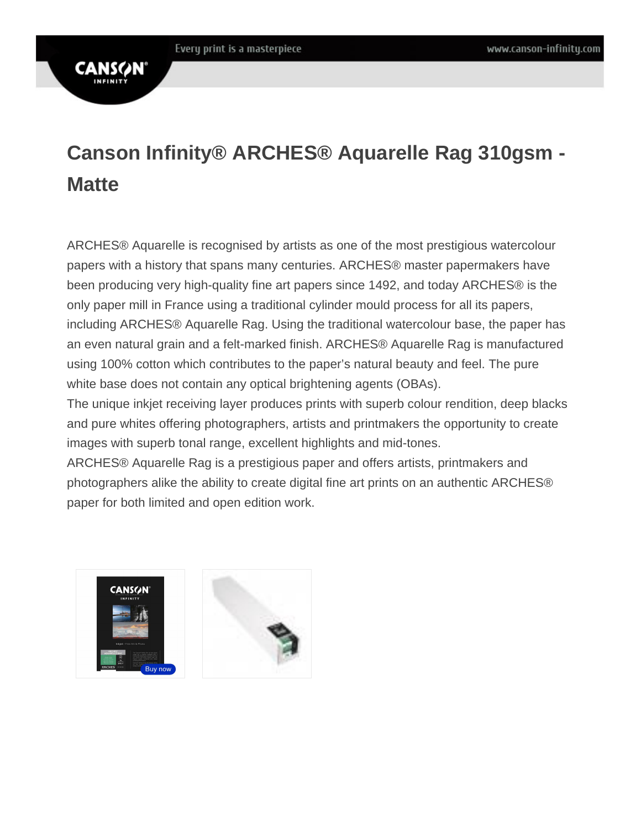# **CANS**

## **Canson Infinity® ARCHES® Aquarelle Rag 310gsm - Matte**

ARCHES® Aquarelle is recognised by artists as one of the most prestigious watercolour papers with a history that spans many centuries. ARCHES® master papermakers have been producing very high-quality fine art papers since 1492, and today ARCHES® is the only paper mill in France using a traditional cylinder mould process for all its papers, including ARCHES® Aquarelle Rag. Using the traditional watercolour base, the paper has an even natural grain and a felt-marked finish. ARCHES® Aquarelle Rag is manufactured using 100% cotton which contributes to the paper's natural beauty and feel. The pure white base does not contain any optical brightening agents (OBAs).

The unique inkjet receiving layer produces prints with superb colour rendition, deep blacks and pure whites offering photographers, artists and printmakers the opportunity to create images with superb tonal range, excellent highlights and mid-tones.

ARCHES® Aquarelle Rag is a prestigious paper and offers artists, printmakers and photographers alike the ability to create digital fine art prints on an authentic ARCHES® paper for both limited and open edition work.

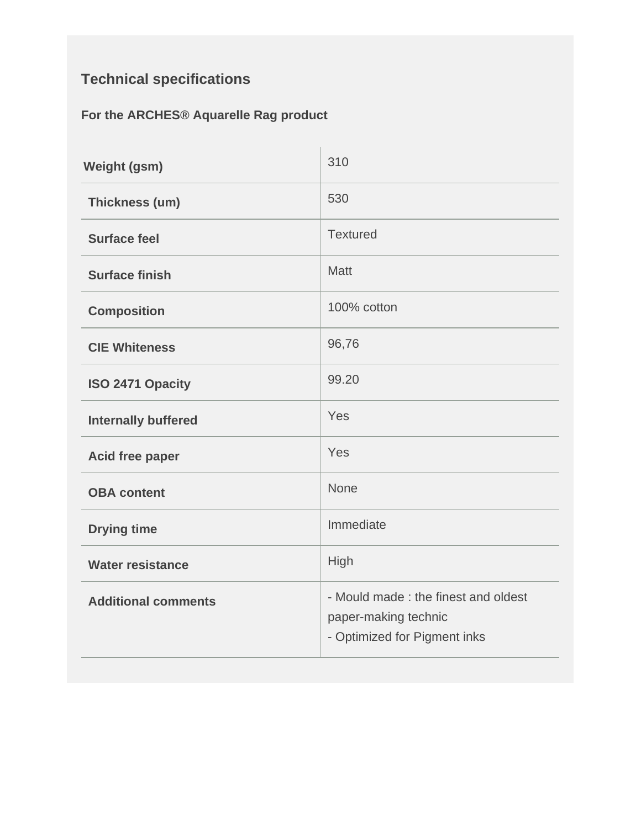### **Technical specifications**

#### **For the ARCHES® Aquarelle Rag product**

| <b>Weight (gsm)</b>        | 310                                                                                         |
|----------------------------|---------------------------------------------------------------------------------------------|
| Thickness (um)             | 530                                                                                         |
| <b>Surface feel</b>        | <b>Textured</b>                                                                             |
| <b>Surface finish</b>      | <b>Matt</b>                                                                                 |
| <b>Composition</b>         | 100% cotton                                                                                 |
| <b>CIE Whiteness</b>       | 96,76                                                                                       |
| ISO 2471 Opacity           | 99.20                                                                                       |
| <b>Internally buffered</b> | Yes                                                                                         |
| <b>Acid free paper</b>     | Yes                                                                                         |
| <b>OBA</b> content         | <b>None</b>                                                                                 |
| <b>Drying time</b>         | Immediate                                                                                   |
| <b>Water resistance</b>    | High                                                                                        |
| <b>Additional comments</b> | - Mould made: the finest and oldest<br>paper-making technic<br>- Optimized for Pigment inks |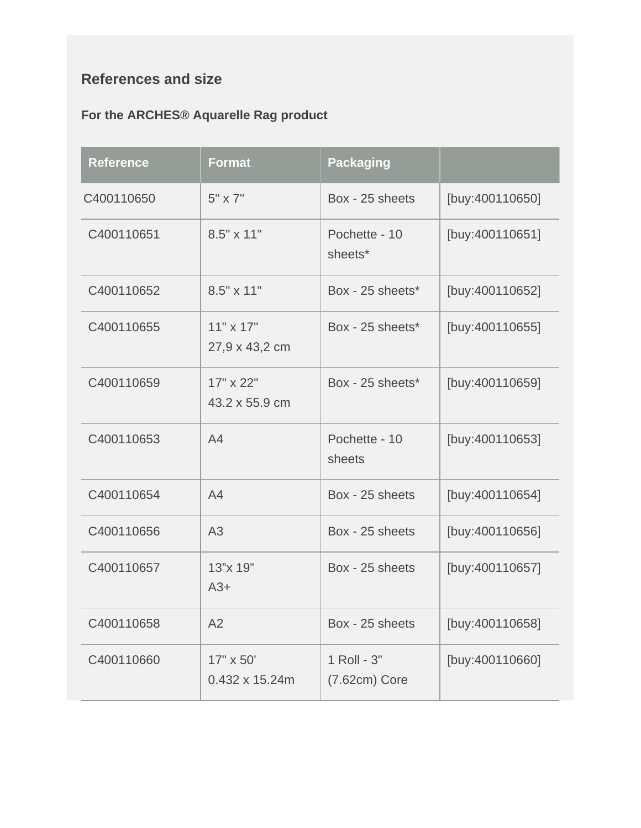#### **References and size**

#### **For the ARCHES® Aquarelle Rag product**

| <b>Reference</b> | <b>Format</b>                      | <b>Packaging</b>               |                 |
|------------------|------------------------------------|--------------------------------|-----------------|
| C400110650       | $5" \times 7"$                     | Box - 25 sheets                | [buy:400110650] |
| C400110651       | 8.5" x 11"                         | Pochette - 10<br>sheets*       | [buy:400110651] |
| C400110652       | $8.5" \times 11"$                  | Box - 25 sheets*               | [buy:400110652] |
| C400110655       | $11" \times 17"$<br>27,9 x 43,2 cm | Box - 25 sheets*               | [buy:400110655] |
| C400110659       | 17" x 22"<br>43.2 x 55.9 cm        | Box - 25 sheets*               | [buy:400110659] |
| C400110653       | A <sub>4</sub>                     | Pochette - 10<br>sheets        | [buy:400110653] |
| C400110654       | A4                                 | Box - 25 sheets                | [buy:400110654] |
| C400110656       | A <sub>3</sub>                     | Box - 25 sheets                | [buy:400110656] |
| C400110657       | 13"x 19"<br>$A3+$                  | Box - 25 sheets                | [buy:400110657] |
| C400110658       | A2                                 | Box - 25 sheets                | [buy:400110658] |
| C400110660       | 17" x 50'<br>0.432 x 15.24m        | 1 Roll - 3"<br>$(7.62cm)$ Core | [buy:400110660] |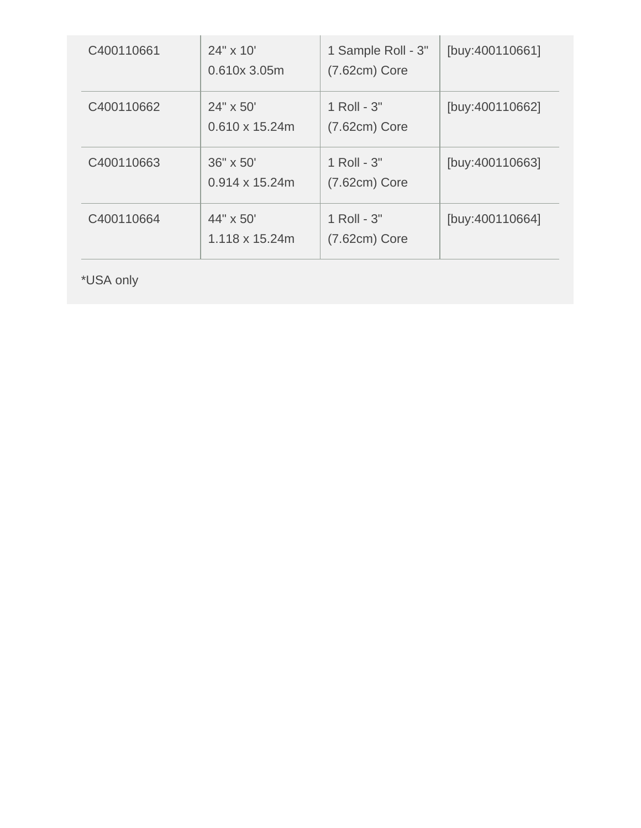| C400110661 | 24" x 10"<br>$0.610x$ 3.05m               | 1 Sample Roll - 3"<br>$(7.62cm)$ Core | [buy:400110661] |
|------------|-------------------------------------------|---------------------------------------|-----------------|
| C400110662 | 24" x 50"<br>$0.610 \times 15.24$ m       | $1$ Roll - $3"$<br>$(7.62cm)$ Core    | [buy:400110662] |
| C400110663 | 36" x 50"<br>$0.914 \times 15.24$ m       | 1 Roll - 3"<br>$(7.62cm)$ Core        | [buy:400110663] |
| C400110664 | $44" \times 50'$<br>$1.118 \times 15.24m$ | 1 Roll - 3"<br>$(7.62cm)$ Core        | [buy:400110664] |

\*USA only